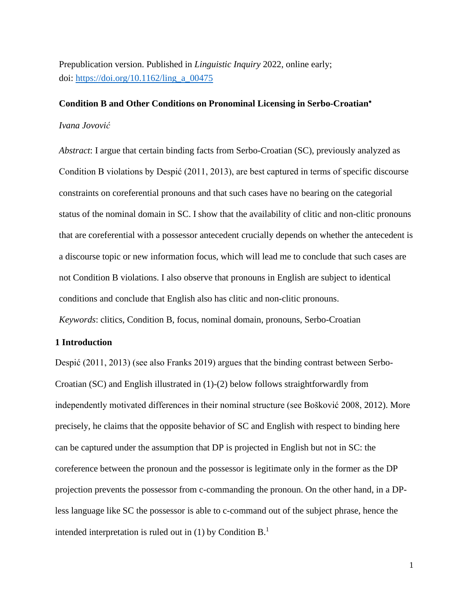Prepublication version. Published in *Linguistic Inquiry* 2022, online early; doi: [https://doi.org/10.1162/ling\\_a\\_00475](https://doi.org/10.1162/ling_a_00475)

## **Condition B and Other Conditions on Pronominal Licensing in Serbo-Croatian**

#### *Ivana Jovović*

*Abstract*: I argue that certain binding facts from Serbo-Croatian (SC), previously analyzed as Condition B violations by Despić (2011, 2013), are best captured in terms of specific discourse constraints on coreferential pronouns and that such cases have no bearing on the categorial status of the nominal domain in SC. I show that the availability of clitic and non-clitic pronouns that are coreferential with a possessor antecedent crucially depends on whether the antecedent is a discourse topic or new information focus, which will lead me to conclude that such cases are not Condition B violations. I also observe that pronouns in English are subject to identical conditions and conclude that English also has clitic and non-clitic pronouns.

*Keywords*: clitics, Condition B, focus, nominal domain, pronouns, Serbo-Croatian

# **1 Introduction**

Despić (2011, 2013) (see also Franks 2019) argues that the binding contrast between Serbo-Croatian (SC) and English illustrated in (1)-(2) below follows straightforwardly from independently motivated differences in their nominal structure (see Bošković 2008, 2012). More precisely, he claims that the opposite behavior of SC and English with respect to binding here can be captured under the assumption that DP is projected in English but not in SC: the coreference between the pronoun and the possessor is legitimate only in the former as the DP projection prevents the possessor from c-commanding the pronoun. On the other hand, in a DPless language like SC the possessor is able to c-command out of the subject phrase, hence the intended interpretation is ruled out in  $(1)$  by Condition B.<sup>1</sup>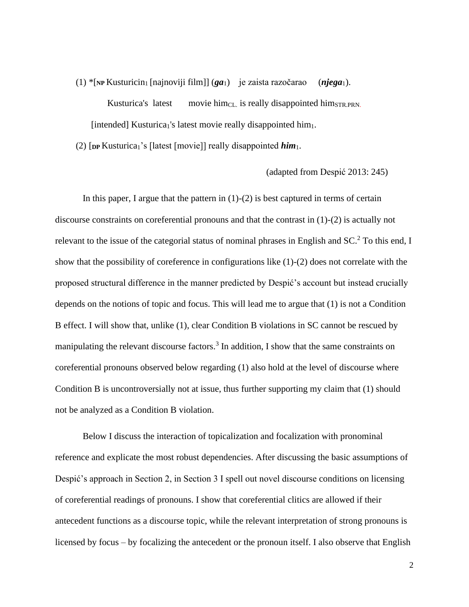(1) \*[**NP** Kusturicin<sup>1</sup> [najnoviji film]] (*ga*1) je zaista razočarao (*njega*1). Kusturica's latest movie him $_{CL}$  is really disappointed him $_{STR.PRN}$ . [intended] Kusturica<sub>1</sub>'s latest movie really disappointed him<sub>1</sub>.

(2) [**DP** Kusturica1's [latest [movie]] really disappointed *him*1.

(adapted from Despić 2013: 245)

In this paper, I argue that the pattern in  $(1)-(2)$  is best captured in terms of certain discourse constraints on coreferential pronouns and that the contrast in (1)-(2) is actually not relevant to the issue of the categorial status of nominal phrases in English and SC.<sup>2</sup> To this end, I show that the possibility of coreference in configurations like (1)-(2) does not correlate with the proposed structural difference in the manner predicted by Despić's account but instead crucially depends on the notions of topic and focus. This will lead me to argue that (1) is not a Condition B effect. I will show that, unlike (1), clear Condition B violations in SC cannot be rescued by manipulating the relevant discourse factors.<sup>3</sup> In addition, I show that the same constraints on coreferential pronouns observed below regarding (1) also hold at the level of discourse where Condition B is uncontroversially not at issue, thus further supporting my claim that (1) should not be analyzed as a Condition B violation.

Below I discuss the interaction of topicalization and focalization with pronominal reference and explicate the most robust dependencies. After discussing the basic assumptions of Despić's approach in Section 2, in Section 3 I spell out novel discourse conditions on licensing of coreferential readings of pronouns. I show that coreferential clitics are allowed if their antecedent functions as a discourse topic, while the relevant interpretation of strong pronouns is licensed by focus – by focalizing the antecedent or the pronoun itself. I also observe that English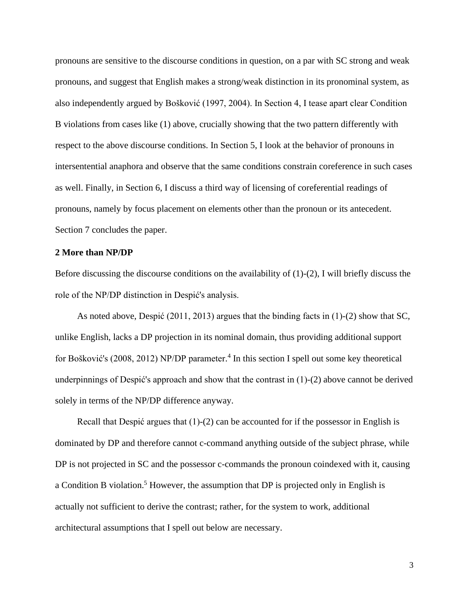pronouns are sensitive to the discourse conditions in question, on a par with SC strong and weak pronouns, and suggest that English makes a strong/weak distinction in its pronominal system, as also independently argued by Bošković (1997, 2004). In Section 4, I tease apart clear Condition B violations from cases like (1) above, crucially showing that the two pattern differently with respect to the above discourse conditions. In Section 5, I look at the behavior of pronouns in intersentential anaphora and observe that the same conditions constrain coreference in such cases as well. Finally, in Section 6, I discuss a third way of licensing of coreferential readings of pronouns, namely by focus placement on elements other than the pronoun or its antecedent. Section 7 concludes the paper.

## **2 More than NP/DP**

Before discussing the discourse conditions on the availability of (1)-(2), I will briefly discuss the role of the NP/DP distinction in Despić's analysis.

As noted above, Despić (2011, 2013) argues that the binding facts in (1)-(2) show that SC, unlike English, lacks a DP projection in its nominal domain, thus providing additional support for Bošković's (2008, 2012) NP/DP parameter. 4 In this section I spell out some key theoretical underpinnings of Despić's approach and show that the contrast in (1)-(2) above cannot be derived solely in terms of the NP/DP difference anyway.

Recall that Despić argues that (1)-(2) can be accounted for if the possessor in English is dominated by DP and therefore cannot c-command anything outside of the subject phrase, while DP is not projected in SC and the possessor c-commands the pronoun coindexed with it, causing a Condition B violation.<sup>5</sup> However, the assumption that DP is projected only in English is actually not sufficient to derive the contrast; rather, for the system to work, additional architectural assumptions that I spell out below are necessary.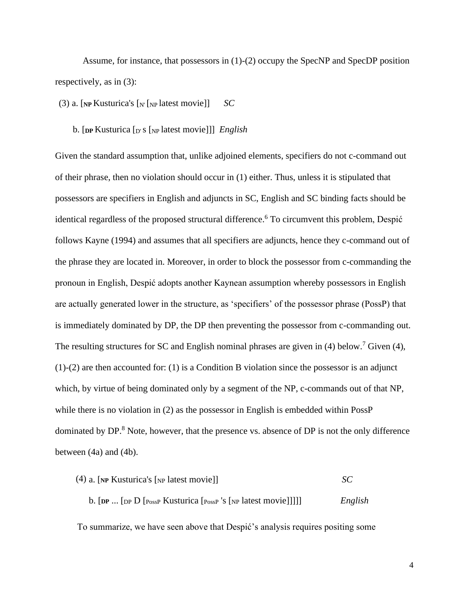Assume, for instance, that possessors in (1)-(2) occupy the SpecNP and SpecDP position respectively, as in (3):

(3) a.  $\lceil NP$  Kusturica's  $\lceil N \rceil$ <sub>NP</sub> latest movie]] *SC* 

b. [**DP** Kusturica [D's [NP latest movie]]] *English*

Given the standard assumption that, unlike adjoined elements, specifiers do not c-command out of their phrase, then no violation should occur in (1) either. Thus, unless it is stipulated that possessors are specifiers in English and adjuncts in SC, English and SC binding facts should be identical regardless of the proposed structural difference. <sup>6</sup> To circumvent this problem, Despić follows Kayne (1994) and assumes that all specifiers are adjuncts, hence they c-command out of the phrase they are located in. Moreover, in order to block the possessor from c-commanding the pronoun in English, Despić adopts another Kaynean assumption whereby possessors in English are actually generated lower in the structure, as 'specifiers' of the possessor phrase (PossP) that is immediately dominated by DP, the DP then preventing the possessor from c-commanding out. The resulting structures for SC and English nominal phrases are given in  $(4)$  below.<sup>7</sup> Given  $(4)$ , (1)-(2) are then accounted for: (1) is a Condition B violation since the possessor is an adjunct which, by virtue of being dominated only by a segment of the NP, c-commands out of that NP, while there is no violation in (2) as the possessor in English is embedded within PossP dominated by DP.<sup>8</sup> Note, however, that the presence vs. absence of DP is not the only difference between (4a) and (4b).

| $(4)$ a. [NP Kusturica's [NP latest movie]]                   | SC      |
|---------------------------------------------------------------|---------|
| b. [DP  [DP D [PossP Kusturica [PossP 's [NP latest movie]]]] | English |

To summarize, we have seen above that Despić's analysis requires positing some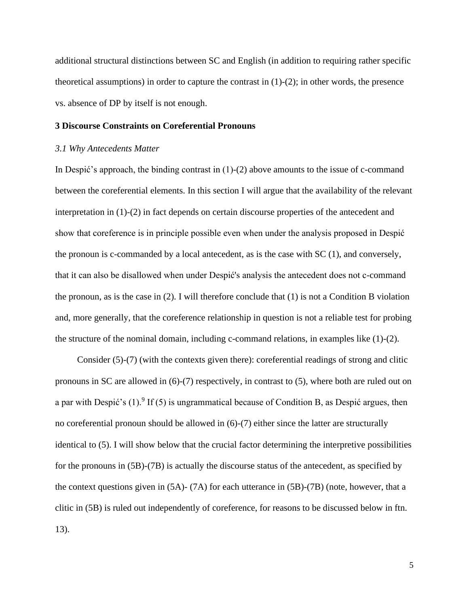additional structural distinctions between SC and English (in addition to requiring rather specific theoretical assumptions) in order to capture the contrast in  $(1)-(2)$ ; in other words, the presence vs. absence of DP by itself is not enough.

## **3 Discourse Constraints on Coreferential Pronouns**

## *3.1 Why Antecedents Matter*

In Despić's approach, the binding contrast in  $(1)-(2)$  above amounts to the issue of c-command between the coreferential elements. In this section I will argue that the availability of the relevant interpretation in (1)-(2) in fact depends on certain discourse properties of the antecedent and show that coreference is in principle possible even when under the analysis proposed in Despić the pronoun is c-commanded by a local antecedent, as is the case with SC (1), and conversely, that it can also be disallowed when under Despić's analysis the antecedent does not c-command the pronoun, as is the case in (2). I will therefore conclude that (1) is not a Condition B violation and, more generally, that the coreference relationship in question is not a reliable test for probing the structure of the nominal domain, including c-command relations, in examples like  $(1)-(2)$ .

Consider (5)-(7) (with the contexts given there): coreferential readings of strong and clitic pronouns in SC are allowed in (6)-(7) respectively, in contrast to (5), where both are ruled out on a par with Despić's  $(1)$ . If  $(5)$  is ungrammatical because of Condition B, as Despić argues, then no coreferential pronoun should be allowed in (6)-(7) either since the latter are structurally identical to (5). I will show below that the crucial factor determining the interpretive possibilities for the pronouns in (5B)-(7B) is actually the discourse status of the antecedent, as specified by the context questions given in (5A)- (7A) for each utterance in (5B)-(7B) (note, however, that a clitic in (5B) is ruled out independently of coreference, for reasons to be discussed below in ftn. 13).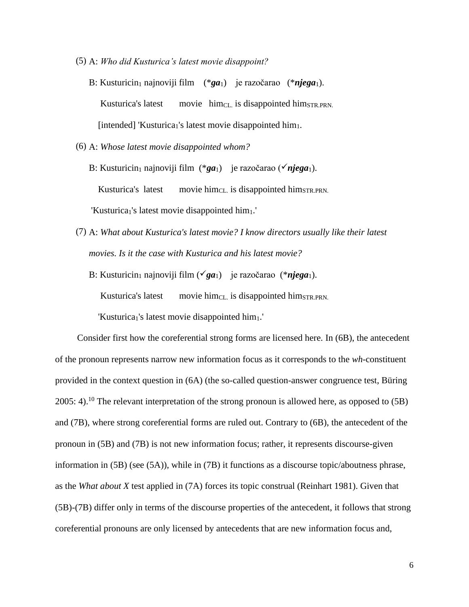- (5) A: *Who did Kusturica's latest movie disappoint?*
	- B: Kusturicin<sub>1</sub> najnoviji film (\*ga<sub>1</sub>) je razočarao (\*njega<sub>1</sub>). Kusturica's latest movie him<sub>CL</sub> is disappointed him<sub>STR.PRN</sub>. [intended] 'Kusturica<sub>1</sub>'s latest movie disappointed him<sub>1</sub>.
- (6) A: *Whose latest movie disappointed whom?*

B: Kusturicin<sub>1</sub> najnoviji film (\*ga<sub>1</sub>) je razočarao (**v**njega<sub>1</sub>). Kusturica's latest movie him<sub>CL</sub> is disappointed him<sub>STR.PRN</sub>. 'Kusturica<sub>1</sub>'s latest movie disappointed him<sub>1</sub>.'

(7) A: *What about Kusturica's latest movie? I know directors usually like their latest movies. Is it the case with Kusturica and his latest movie?*

B: Kusturicin<sub>1</sub> najnoviji film ( $\check{g}a_1$ ) je razočarao (\**njega*<sub>1</sub>).

Kusturica's latest movie him<sub>CL</sub> is disappointed him $_{STR.PRN}$ .

'Kusturica<sub>1</sub>'s latest movie disappointed him<sub>1</sub>.'

Consider first how the coreferential strong forms are licensed here. In (6B), the antecedent of the pronoun represents narrow new information focus as it corresponds to the *wh*-constituent provided in the context question in (6A) (the so-called question-answer congruence test, Büring 2005: 4).<sup>10</sup> The relevant interpretation of the strong pronoun is allowed here, as opposed to  $(5B)$ and (7B), where strong coreferential forms are ruled out. Contrary to (6B), the antecedent of the pronoun in (5B) and (7B) is not new information focus; rather, it represents discourse-given information in (5B) (see (5A)), while in (7B) it functions as a discourse topic/aboutness phrase, as the *What about X* test applied in (7A) forces its topic construal (Reinhart 1981). Given that (5B)-(7B) differ only in terms of the discourse properties of the antecedent, it follows that strong coreferential pronouns are only licensed by antecedents that are new information focus and,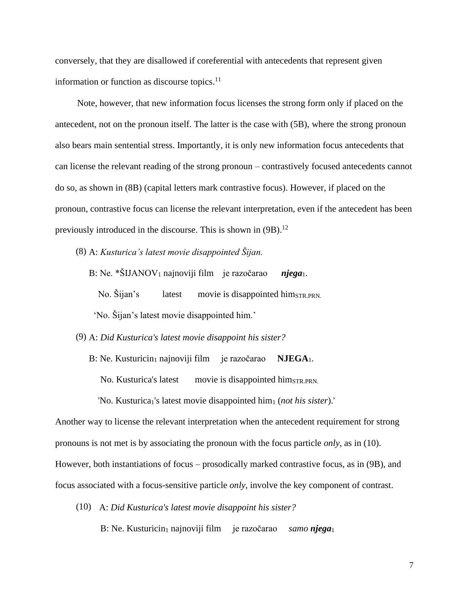conversely, that they are disallowed if coreferential with antecedents that represent given information or function as discourse topics.<sup>11</sup>

Note, however, that new information focus licenses the strong form only if placed on the antecedent, not on the pronoun itself. The latter is the case with (5B), where the strong pronoun also bears main sentential stress. Importantly, it is only new information focus antecedents that can license the relevant reading of the strong pronoun – contrastively focused antecedents cannot do so, as shown in (8B) (capital letters mark contrastive focus). However, if placed on the pronoun, contrastive focus can license the relevant interpretation, even if the antecedent has been previously introduced in the discourse. This is shown in (9B).<sup>12</sup>

(8) A: *Kusturica's latest movie disappointed Šijan.*

B: Ne.  $*\text{SIJANOV}_1$  najnoviji film je razočarao *njega*<sub>1</sub>.

No. Šijan's latest movie is disappointed him<sub>STR.PRN</sub>.

'No. Šijan's latest movie disappointed him.'

(9) A: *Did Kusturica's latest movie disappoint his sister?*

B: Ne. Kusturicin<sub>1</sub> najnoviji film je razočarao **NJEGA**<sub>1</sub>.

No. Kusturica's latest movie is disappointed him<sub>STR.PRN</sub>.

'No. Kusturica1's latest movie disappointed him<sup>1</sup> (*not his sister*).'

Another way to license the relevant interpretation when the antecedent requirement for strong pronouns is not met is by associating the pronoun with the focus particle *only*, as in (10). However, both instantiations of focus – prosodically marked contrastive focus, as in (9B), and focus associated with a focus-sensitive particle *only*, involve the key component of contrast.

(10) A: *Did Kusturica's latest movie disappoint his sister?*

B: Ne. Kusturicin<sub>1</sub> najnoviji film je razočarao *samo njega*<sub>1</sub>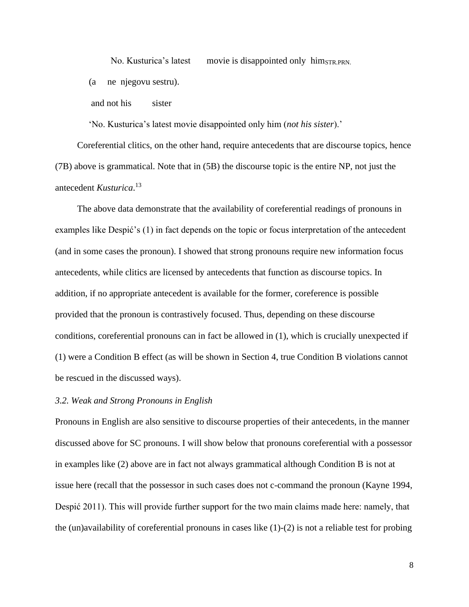No. Kusturica's latest movie is disappointed only him<sub>STR.PRN</sub>.

(a ne njegovu sestru).

and not his sister

'No. Kusturica's latest movie disappointed only him (*not his sister*).'

Coreferential clitics, on the other hand, require antecedents that are discourse topics, hence (7B) above is grammatical. Note that in (5B) the discourse topic is the entire NP, not just the antecedent *Kusturica*. 13

The above data demonstrate that the availability of coreferential readings of pronouns in examples like Despić's (1) in fact depends on the topic or focus interpretation of the antecedent (and in some cases the pronoun). I showed that strong pronouns require new information focus antecedents, while clitics are licensed by antecedents that function as discourse topics. In addition, if no appropriate antecedent is available for the former, coreference is possible provided that the pronoun is contrastively focused. Thus, depending on these discourse conditions, coreferential pronouns can in fact be allowed in (1), which is crucially unexpected if (1) were a Condition B effect (as will be shown in Section 4, true Condition B violations cannot be rescued in the discussed ways).

## *3.2. Weak and Strong Pronouns in English*

Pronouns in English are also sensitive to discourse properties of their antecedents, in the manner discussed above for SC pronouns. I will show below that pronouns coreferential with a possessor in examples like (2) above are in fact not always grammatical although Condition B is not at issue here (recall that the possessor in such cases does not c-command the pronoun (Kayne 1994, Despić 2011). This will provide further support for the two main claims made here: namely, that the (un)availability of coreferential pronouns in cases like  $(1)-(2)$  is not a reliable test for probing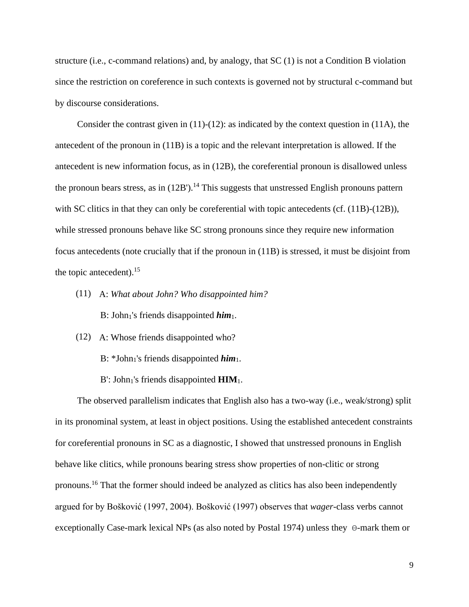structure (i.e., c-command relations) and, by analogy, that SC (1) is not a Condition B violation since the restriction on coreference in such contexts is governed not by structural c-command but by discourse considerations.

Consider the contrast given in  $(11)-(12)$ : as indicated by the context question in  $(11A)$ , the antecedent of the pronoun in (11B) is a topic and the relevant interpretation is allowed. If the antecedent is new information focus, as in (12B), the coreferential pronoun is disallowed unless the pronoun bears stress, as in  $(12B')$ .<sup>14</sup> This suggests that unstressed English pronouns pattern with SC clitics in that they can only be coreferential with topic antecedents (cf. (11B)-(12B)), while stressed pronouns behave like SC strong pronouns since they require new information focus antecedents (note crucially that if the pronoun in (11B) is stressed, it must be disjoint from the topic antecedent).  $15$ 

- (11) A: *What about John? Who disappointed him?* B: John<sub>1</sub>'s friends disappointed *him*<sub>1</sub>.
- (12) A: Whose friends disappointed who?
	- B:  $*John_1's$  friends disappointed  $him_1$ .
	- $B'$ : John<sub>1</sub>'s friends disappointed  $\text{HIM}_1$ .

The observed parallelism indicates that English also has a two-way (i.e., weak/strong) split in its pronominal system, at least in object positions. Using the established antecedent constraints for coreferential pronouns in SC as a diagnostic, I showed that unstressed pronouns in English behave like clitics, while pronouns bearing stress show properties of non-clitic or strong pronouns. <sup>16</sup> That the former should indeed be analyzed as clitics has also been independently argued for by Bošković (1997, 2004). Bošković (1997) observes that *wager*-class verbs cannot exceptionally Case-mark lexical NPs (as also noted by Postal 1974) unless they  $\Theta$ -mark them or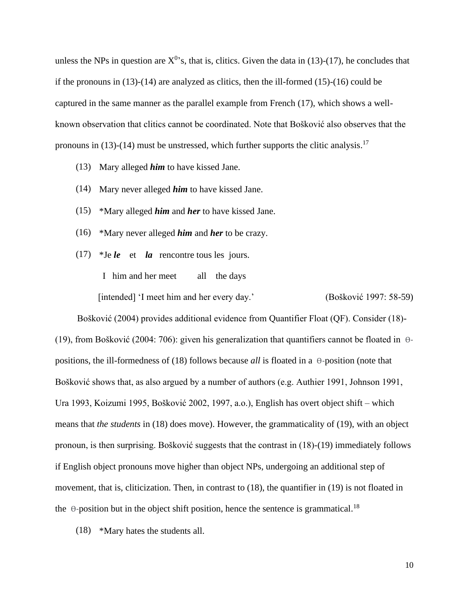unless the NPs in question are  $X^0$ 's, that is, clitics. Given the data in (13)-(17), he concludes that if the pronouns in (13)-(14) are analyzed as clitics, then the ill-formed (15)-(16) could be captured in the same manner as the parallel example from French (17), which shows a wellknown observation that clitics cannot be coordinated. Note that Bošković also observes that the pronouns in  $(13)-(14)$  must be unstressed, which further supports the clitic analysis.<sup>17</sup>

- (13) Mary alleged *him* to have kissed Jane.
- (14) Mary never alleged *him* to have kissed Jane.
- (15) \*Mary alleged *him* and *her* to have kissed Jane.
- (16) \*Mary never alleged *him* and *her* to be crazy.
- (17) \*Je *le* et *la* rencontre tous les jours.

I him and her meet all the days

[intended] 'I meet him and her every day.' (Bošković 1997: 58-59)

Bošković (2004) provides additional evidence from Quantifier Float (QF). Consider (18)- (19), from Bošković (2004: 706): given his generalization that quantifiers cannot be floated in  $\theta$ positions, the ill-formedness of (18) follows because *all* is floated in a  $\Theta$ -position (note that Bošković shows that, as also argued by a number of authors (e.g. Authier 1991, Johnson 1991, Ura 1993, Koizumi 1995, Bošković 2002, 1997, a.o.), English has overt object shift – which means that *the students* in (18) does move). However, the grammaticality of (19), with an object pronoun, is then surprising. Bošković suggests that the contrast in (18)-(19) immediately follows if English object pronouns move higher than object NPs, undergoing an additional step of movement, that is, cliticization. Then, in contrast to (18), the quantifier in (19) is not floated in the  $\theta$ -position but in the object shift position, hence the sentence is grammatical.<sup>18</sup>

(18) \*Mary hates the students all.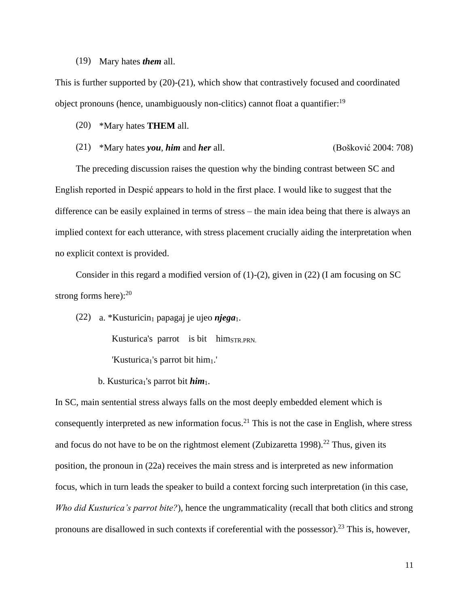#### (19) Mary hates *them* all.

This is further supported by (20)-(21), which show that contrastively focused and coordinated object pronouns (hence, unambiguously non-clitics) cannot float a quantifier:<sup>19</sup>

- (20) \*Mary hates **THEM** all.
- (21) \*Mary hates *you*, *him* and *her* all. (Bošković 2004: 708)

The preceding discussion raises the question why the binding contrast between SC and English reported in Despić appears to hold in the first place. I would like to suggest that the difference can be easily explained in terms of stress – the main idea being that there is always an implied context for each utterance, with stress placement crucially aiding the interpretation when no explicit context is provided.

Consider in this regard a modified version of (1)-(2), given in (22) (I am focusing on SC strong forms here): $^{20}$ 

(22) a. \*Kusturicin<sub>1</sub> papagaj je ujeo *njega*<sub>1</sub>.

Kusturica's parrot is bit him<sub>STR.PRN</sub>.

'Kusturica<sub>1</sub>'s parrot bit him<sub>1</sub>.'

b. Kusturica<sub>1</sub>'s parrot bit *him*<sub>1</sub>.

In SC, main sentential stress always falls on the most deeply embedded element which is consequently interpreted as new information focus.<sup>21</sup> This is not the case in English, where stress and focus do not have to be on the rightmost element (Zubizaretta 1998).<sup>22</sup> Thus, given its position, the pronoun in (22a) receives the main stress and is interpreted as new information focus, which in turn leads the speaker to build a context forcing such interpretation (in this case, *Who did Kusturica's parrot bite?*), hence the ungrammaticality (recall that both clitics and strong pronouns are disallowed in such contexts if coreferential with the possessor).<sup>23</sup> This is, however,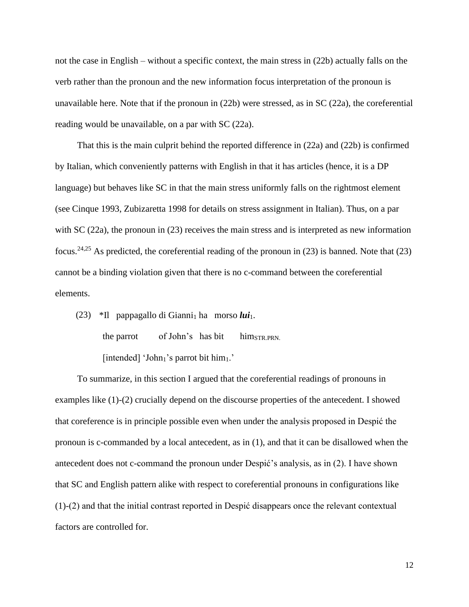not the case in English – without a specific context, the main stress in (22b) actually falls on the verb rather than the pronoun and the new information focus interpretation of the pronoun is unavailable here. Note that if the pronoun in (22b) were stressed, as in SC (22a), the coreferential reading would be unavailable, on a par with SC (22a).

That this is the main culprit behind the reported difference in (22a) and (22b) is confirmed by Italian, which conveniently patterns with English in that it has articles (hence, it is a DP language) but behaves like SC in that the main stress uniformly falls on the rightmost element (see Cinque 1993, Zubizaretta 1998 for details on stress assignment in Italian). Thus, on a par with SC (22a), the pronoun in (23) receives the main stress and is interpreted as new information focus.<sup>24,25</sup> As predicted, the coreferential reading of the pronoun in (23) is banned. Note that (23) cannot be a binding violation given that there is no c-command between the coreferential elements.

(23) \*Il pappagallo di Gianni<sub>1</sub> ha morso  $lui_1$ . the parrot of John's has bit him $_{STR.PRN}$ . [intended] 'John<sub>1</sub>'s parrot bit him<sub>1</sub>.'

To summarize, in this section I argued that the coreferential readings of pronouns in examples like (1)-(2) crucially depend on the discourse properties of the antecedent. I showed that coreference is in principle possible even when under the analysis proposed in Despić the pronoun is c-commanded by a local antecedent, as in (1), and that it can be disallowed when the antecedent does not c-command the pronoun under Despić's analysis, as in (2). I have shown that SC and English pattern alike with respect to coreferential pronouns in configurations like (1)-(2) and that the initial contrast reported in Despić disappears once the relevant contextual factors are controlled for.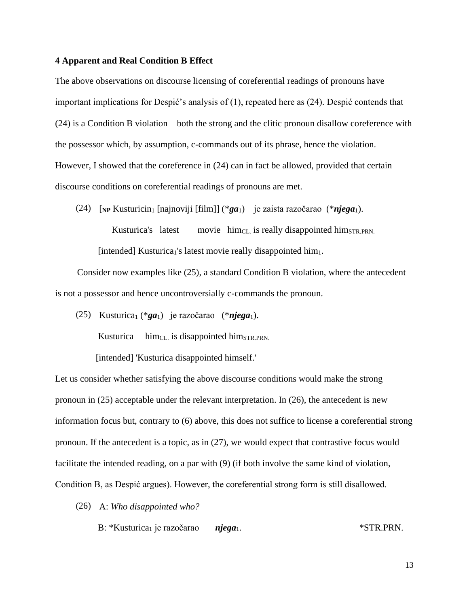## **4 Apparent and Real Condition B Effect**

The above observations on discourse licensing of coreferential readings of pronouns have important implications for Despić's analysis of (1), repeated here as (24). Despić contends that (24) is a Condition B violation – both the strong and the clitic pronoun disallow coreference with the possessor which, by assumption, c-commands out of its phrase, hence the violation. However, I showed that the coreference in (24) can in fact be allowed, provided that certain discourse conditions on coreferential readings of pronouns are met.

(24) [**NP** Kusturicin<sup>1</sup> [najnoviji [film]] (\**ga*1) je zaista razočarao (\**njega*1).

Kusturica's latest movie  $him_{CL}$  is really disappointed him $_{STR.PRN}$ . [intended] Kusturica<sub>1</sub>'s latest movie really disappointed him<sub>1</sub>.

Consider now examples like (25), a standard Condition B violation, where the antecedent is not a possessor and hence uncontroversially c-commands the pronoun.

(25) Kusturica<sup>1</sup> (\**ga*1) je razočarao (\**njega*1). Kusturica him<sub>CL</sub> is disappointed him<sub>STR.PRN</sub>. [intended] 'Kusturica disappointed himself.'

Let us consider whether satisfying the above discourse conditions would make the strong pronoun in (25) acceptable under the relevant interpretation. In (26), the antecedent is new information focus but, contrary to (6) above, this does not suffice to license a coreferential strong pronoun. If the antecedent is a topic, as in (27), we would expect that contrastive focus would facilitate the intended reading, on a par with (9) (if both involve the same kind of violation, Condition B, as Despić argues). However, the coreferential strong form is still disallowed.

- (26) A: *Who disappointed who?*
	- B: \*Kusturica<sub>1</sub> je razočarao *njega*<sub>1</sub>. \*STR.PRN.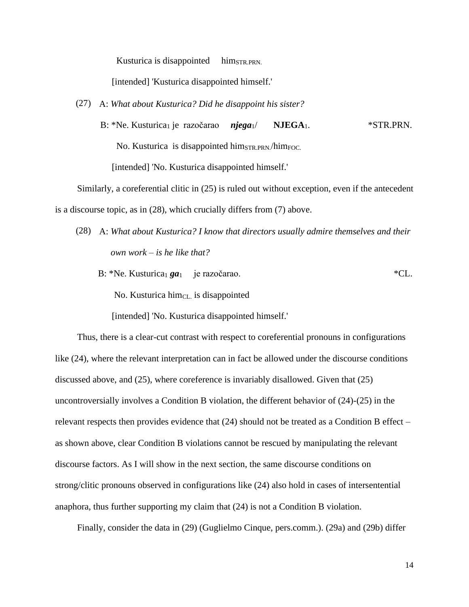Kusturica is disappointed him<sub>STR.PRN</sub>.

[intended] 'Kusturica disappointed himself.'

- (27) A: *What about Kusturica? Did he disappoint his sister?*
	- B: \*Ne. Kusturica<sub>1</sub> je razočarao *njega*<sub>1</sub>/ **NJEGA**<sub>1</sub>. \* STR.PRN. No. Kusturica is disappointed him<sub>STR.PRN</sub>/him<sub>FOC.</sub> [intended] 'No. Kusturica disappointed himself.'

Similarly, a coreferential clitic in (25) is ruled out without exception, even if the antecedent is a discourse topic, as in (28), which crucially differs from (7) above.

- (28) A: *What about Kusturica? I know that directors usually admire themselves and their own work – is he like that?*
	- B: \*Ne. Kusturica<sub>1</sub> *ga*<sub>1</sub> je razočarao. \*CL. No. Kusturica him<sub>CL</sub> is disappointed

[intended] 'No. Kusturica disappointed himself.'

Thus, there is a clear-cut contrast with respect to coreferential pronouns in configurations like (24), where the relevant interpretation can in fact be allowed under the discourse conditions discussed above, and (25), where coreference is invariably disallowed. Given that (25) uncontroversially involves a Condition B violation, the different behavior of (24)-(25) in the relevant respects then provides evidence that (24) should not be treated as a Condition B effect – as shown above, clear Condition B violations cannot be rescued by manipulating the relevant discourse factors. As I will show in the next section, the same discourse conditions on strong/clitic pronouns observed in configurations like (24) also hold in cases of intersentential anaphora, thus further supporting my claim that (24) is not a Condition B violation.

Finally, consider the data in (29) (Guglielmo Cinque, pers.comm.). (29a) and (29b) differ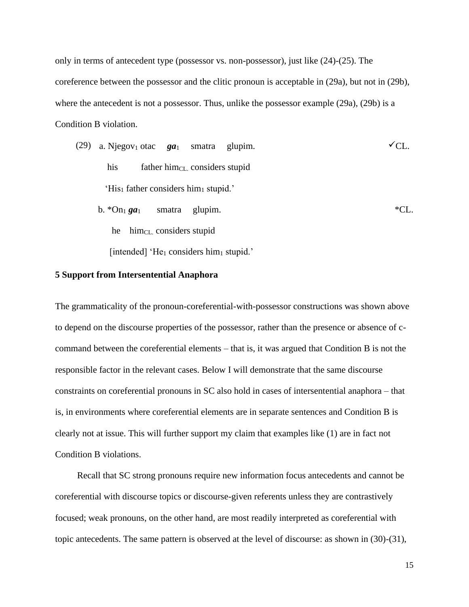only in terms of antecedent type (possessor vs. non-possessor), just like (24)-(25). The coreference between the possessor and the clitic pronoun is acceptable in (29a), but not in (29b), where the antecedent is not a possessor. Thus, unlike the possessor example  $(29a)$ ,  $(29b)$  is a Condition B violation.

\n- (29) a. Njegov<sub>1</sub> otac 
$$
ga_1
$$
 smatra glupim.
\n- his  $father him_{CL}$  considers stupid
\n- His<sub>1</sub> father considers him<sub>1</sub> stupid.
\n- b. \*On<sub>1</sub>  $ga_1$  smatra glupim.
\n- he  $him_{CL}$  considers stupid [intended] 'He<sub>1</sub> considers him<sub>1</sub> stupid.
\n

## **5 Support from Intersentential Anaphora**

The grammaticality of the pronoun-coreferential-with-possessor constructions was shown above to depend on the discourse properties of the possessor, rather than the presence or absence of ccommand between the coreferential elements – that is, it was argued that Condition B is not the responsible factor in the relevant cases. Below I will demonstrate that the same discourse constraints on coreferential pronouns in SC also hold in cases of intersentential anaphora – that is, in environments where coreferential elements are in separate sentences and Condition B is clearly not at issue. This will further support my claim that examples like (1) are in fact not Condition B violations.

Recall that SC strong pronouns require new information focus antecedents and cannot be coreferential with discourse topics or discourse-given referents unless they are contrastively focused; weak pronouns, on the other hand, are most readily interpreted as coreferential with topic antecedents. The same pattern is observed at the level of discourse: as shown in (30)-(31),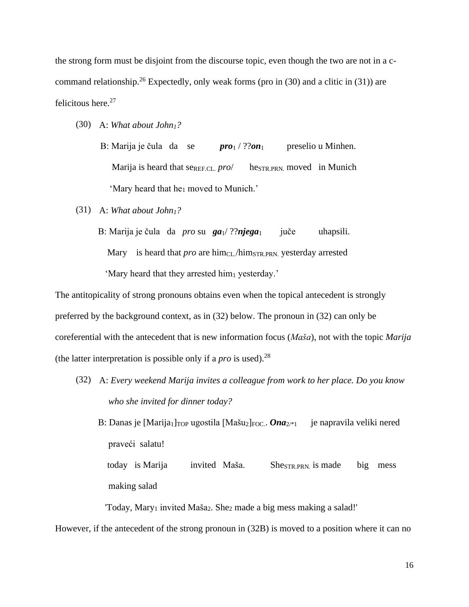the strong form must be disjoint from the discourse topic, even though the two are not in a ccommand relationship.<sup>26</sup> Expectedly, only weak forms (pro in  $(30)$  and a clitic in  $(31)$ ) are felicitous here.<sup>27</sup>

- (30) A: *What about John1?*
	- B: Marija je čula da se *pro*<sub>1</sub> / ??*on*<sub>1</sub> preselio u Minhen. Marija is heard that se<sub>REF.CL.</sub> *pro*/ he<sub>STR.PRN</sub> moved in Munich 'Mary heard that he<sub>1</sub> moved to Munich.'
- (31) A: *What about John1?*

B: Marija je čula da *pro* su **ga**<sub>1</sub>/??**njega**<sub>1</sub> juče uhapsili. Mary is heard that *pro* are him<sub>CL</sub>/him<sub>STR.PRN</sub> yesterday arrested 'Mary heard that they arrested him<sub>1</sub> yesterday.'

The antitopicality of strong pronouns obtains even when the topical antecedent is strongly preferred by the background context, as in (32) below. The pronoun in (32) can only be coreferential with the antecedent that is new information focus (*Maša*), not with the topic *Marija*  (the latter interpretation is possible only if a *pro* is used).<sup>28</sup>

(32) A: *Every weekend Marija invites a colleague from work to her place. Do you know who she invited for dinner today?*

B: Danas je [Marija<sub>1</sub>]<sub>TOP</sub> ugostila [Mašu<sub>2</sub>]<sub>FOC</sub>. *Ona*<sub>2<sup>\*1</sup></sub> je napravila veliki nered praveći salatu!

today is Marija invited Maša. She<sub>STR.PRN</sub> is made big mess making salad

'Today, Mary<sup>1</sup> invited Maša2. She<sup>2</sup> made a big mess making a salad!'

However, if the antecedent of the strong pronoun in (32B) is moved to a position where it can no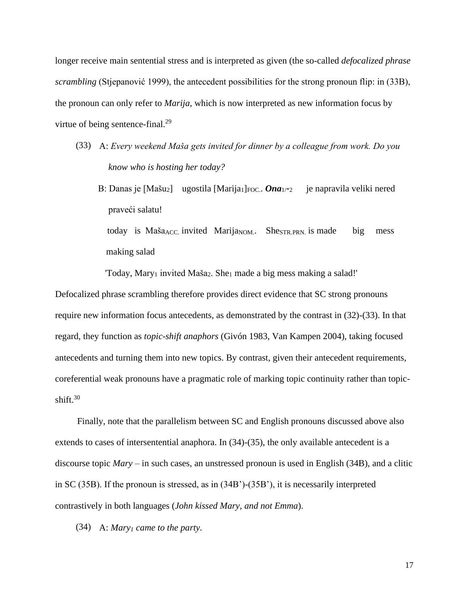longer receive main sentential stress and is interpreted as given (the so-called *defocalized phrase scrambling* (Stjepanović 1999), the antecedent possibilities for the strong pronoun flip: in (33B), the pronoun can only refer to *Marija*, which is now interpreted as new information focus by virtue of being sentence-final.<sup>29</sup>

- (33) A: *Every weekend Maša gets invited for dinner by a colleague from work. Do you know who is hosting her today?*
	- B: Danas je [Mašu<sub>2</sub>] ugostila [Marija<sub>1</sub>]<sub>FOC</sub>. *Ona*<sub>1/\*2</sub> je napravila veliki nered praveći salatu!

today is Maša<sub>ACC</sub> invited Marija<sub>NOM</sub>. She<sub>STR.PRN</sub> is made big mess making salad

 $Today$ , Mary<sub>1</sub> invited Maša<sub>2</sub>. She<sub>1</sub> made a big mess making a salad!'

Defocalized phrase scrambling therefore provides direct evidence that SC strong pronouns require new information focus antecedents, as demonstrated by the contrast in (32)-(33). In that regard, they function as *topic-shift anaphors* (Givón 1983, Van Kampen 2004), taking focused antecedents and turning them into new topics. By contrast, given their antecedent requirements, coreferential weak pronouns have a pragmatic role of marking topic continuity rather than topicshift. $30$ 

Finally, note that the parallelism between SC and English pronouns discussed above also extends to cases of intersentential anaphora. In (34)-(35), the only available antecedent is a discourse topic *Mary* – in such cases, an unstressed pronoun is used in English (34B), and a clitic in SC (35B). If the pronoun is stressed, as in (34B')-(35B'), it is necessarily interpreted contrastively in both languages (*John kissed Mary, and not Emma*).

(34) A: *Mary<sup>1</sup> came to the party.*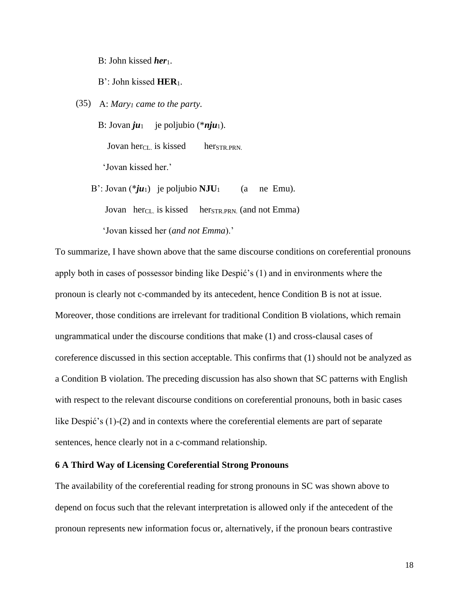B: John kissed *her*<sub>1</sub>.

B': John kissed **HER**1.

(35) A: *Mary<sup>1</sup> came to the party.*

B: Jovan  $ju_1$  je poljubio (\**nju*<sub>1</sub>). Jovan herc<sub>L</sub> is kissed her<sub>STR.PRN</sub>. 'Jovan kissed her.'

B': Jovan  $(*ju_1)$  je poljubio  $NJU_1$  (a ne Emu).

Jovan herc<sub>L</sub> is kissed her<sub>STR.PRN</sub> (and not Emma)

'Jovan kissed her (*and not Emma*).'

To summarize, I have shown above that the same discourse conditions on coreferential pronouns apply both in cases of possessor binding like Despić's (1) and in environments where the pronoun is clearly not c-commanded by its antecedent, hence Condition B is not at issue. Moreover, those conditions are irrelevant for traditional Condition B violations, which remain ungrammatical under the discourse conditions that make (1) and cross-clausal cases of coreference discussed in this section acceptable. This confirms that (1) should not be analyzed as a Condition B violation. The preceding discussion has also shown that SC patterns with English with respect to the relevant discourse conditions on coreferential pronouns, both in basic cases like Despić's (1)-(2) and in contexts where the coreferential elements are part of separate sentences, hence clearly not in a c-command relationship.

## **6 A Third Way of Licensing Coreferential Strong Pronouns**

The availability of the coreferential reading for strong pronouns in SC was shown above to depend on focus such that the relevant interpretation is allowed only if the antecedent of the pronoun represents new information focus or, alternatively, if the pronoun bears contrastive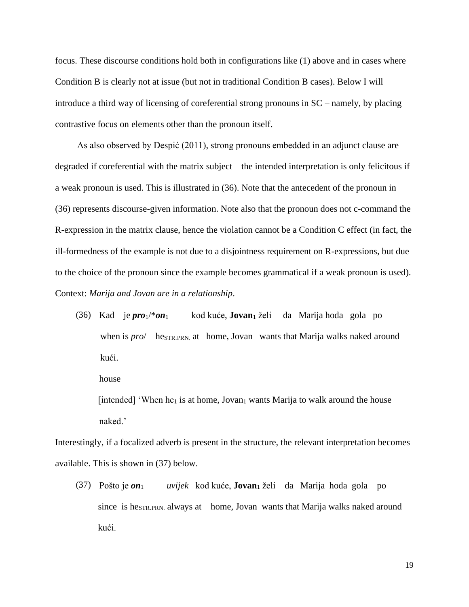focus. These discourse conditions hold both in configurations like (1) above and in cases where Condition B is clearly not at issue (but not in traditional Condition B cases). Below I will introduce a third way of licensing of coreferential strong pronouns in SC – namely, by placing contrastive focus on elements other than the pronoun itself.

As also observed by Despić (2011), strong pronouns embedded in an adjunct clause are degraded if coreferential with the matrix subject – the intended interpretation is only felicitous if a weak pronoun is used. This is illustrated in (36). Note that the antecedent of the pronoun in (36) represents discourse-given information. Note also that the pronoun does not c-command the R-expression in the matrix clause, hence the violation cannot be a Condition C effect (in fact, the ill-formedness of the example is not due to a disjointness requirement on R-expressions, but due to the choice of the pronoun since the example becomes grammatical if a weak pronoun is used). Context: *Marija and Jovan are in a relationship*.

(36) Kad je *pro*1/\**on*1 kod kuće, **Jovan**<sup>1</sup> želi da Marija hoda gola po when is *pro*/ he<sub>STR.PRN</sub> at home, Jovan wants that Marija walks naked around kući.

house

[intended] 'When he<sub>1</sub> is at home, Jovan<sub>1</sub> wants Marija to walk around the house naked.'

Interestingly, if a focalized adverb is present in the structure, the relevant interpretation becomes available. This is shown in (37) below.

(37) Pošto je *on*<sup>1</sup> *uvijek* kod kuće, **Jovan**<sup>1</sup> želi da Marija hoda gola po since is he<sub>STR.PRN</sub> always at home, Jovan wants that Marija walks naked around kući.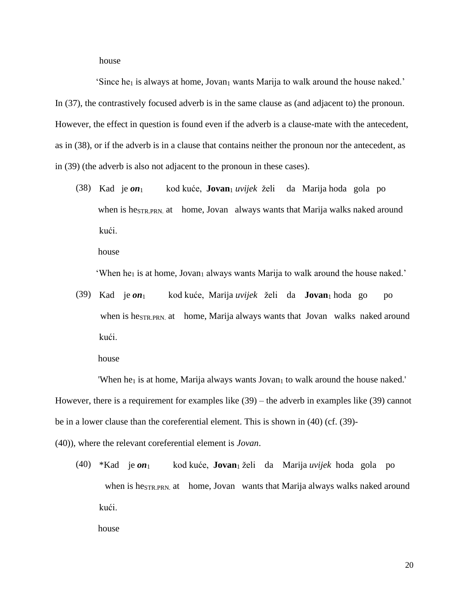house

'Since he<sub>1</sub> is always at home, Jovan<sub>1</sub> wants Marija to walk around the house naked.' In (37), the contrastively focused adverb is in the same clause as (and adjacent to) the pronoun. However, the effect in question is found even if the adverb is a clause-mate with the antecedent, as in (38), or if the adverb is in a clause that contains neither the pronoun nor the antecedent, as in (39) (the adverb is also not adjacent to the pronoun in these cases).

(38) Kad je *on*1 kod kuće, **Jovan**<sup>1</sup> *uvijek* želi da Marija hoda gola po when is he<sub>STR.PRN</sub> at home, Jovan always wants that Marija walks naked around kući.

house

'When he<sub>1</sub> is at home, Jovan<sub>1</sub> always wants Marija to walk around the house naked.'

(39) Kad je *on*1 kod kuće, Marija *uvijek* želi da **Jovan**<sup>1</sup> hoda go po when is he<sub>STR.PRN.</sub> at home, Marija always wants that Jovan walks naked around kući.

house

'When he<sub>1</sub> is at home, Marija always wants  $Jovan<sub>1</sub>$  to walk around the house naked.' However, there is a requirement for examples like (39) – the adverb in examples like (39) cannot be in a lower clause than the coreferential element. This is shown in (40) (cf. (39)-

(40)), where the relevant coreferential element is *Jovan*.

(40) \*Kad je *on*1 kod kuće, **Jovan**<sup>1</sup> želi da Marija *uvijek* hoda gola po when is he<sub>STR.PRN</sub> at home, Jovan wants that Marija always walks naked around kući.

house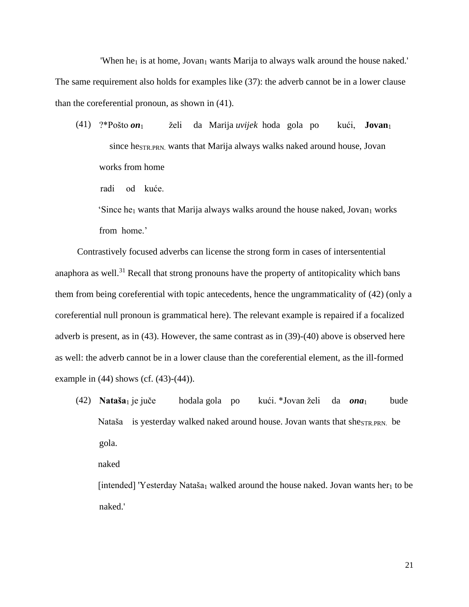'When he<sub>1</sub> is at home, Jovan<sub>1</sub> wants Marija to always walk around the house naked.' The same requirement also holds for examples like (37): the adverb cannot be in a lower clause than the coreferential pronoun, as shown in (41).

(41) ?\*Pošto *on*1 želi da Marija *uvijek* hoda gola po kući, **Jovan**<sup>1</sup> since heSTR.PRN. wants that Marija always walks naked around house, Jovan works from home

radi od kuće.

'Since he<sub>1</sub> wants that Marija always walks around the house naked, Jovan<sub>1</sub> works from home.'

Contrastively focused adverbs can license the strong form in cases of intersentential anaphora as well. $31$  Recall that strong pronouns have the property of antitopicality which bans them from being coreferential with topic antecedents, hence the ungrammaticality of (42) (only a coreferential null pronoun is grammatical here). The relevant example is repaired if a focalized adverb is present, as in (43). However, the same contrast as in (39)-(40) above is observed here as well: the adverb cannot be in a lower clause than the coreferential element, as the ill-formed example in (44) shows (cf. (43)-(44)).

(42) **Nataša**<sup>1</sup> je juče hodala gola po kući. \*Jovan želi da *ona*1 bude Nataša is yesterday walked naked around house. Jovan wants that she<sub>STR.PRN.</sub> be gola.

naked

[intended] 'Yesterday Nataša<sub>1</sub> walked around the house naked. Jovan wants her<sub>1</sub> to be naked.'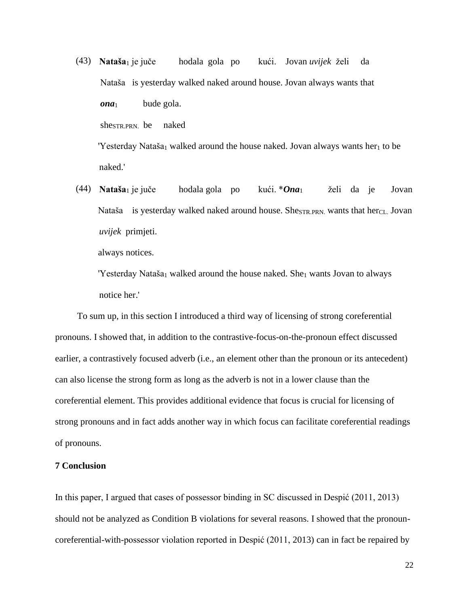(43) **Nataša**<sup>1</sup> je juče hodala gola po kući. Jovan *uvijek* želi da Nataša is yesterday walked naked around house. Jovan always wants that *ona*1 bude gola. she<sub>STR</sub>  $PRN$  be naked

'Yesterday Nataša<sub>1</sub> walked around the house naked. Jovan always wants her<sub>1</sub> to be naked.'

(44) **Nataša**<sup>1</sup> je juče hodala gola po kući. \**Ona*1 želi da je Jovan Nataša is yesterday walked naked around house. She<sub>STR.PRN</sub>, wants that her<sub>CL</sub> Jovan *uvijek* primjeti.

always notices.

'Yesterday Nataša<sub>1</sub> walked around the house naked. She<sub>1</sub> wants Jovan to always notice her.'

To sum up, in this section I introduced a third way of licensing of strong coreferential pronouns. I showed that, in addition to the contrastive-focus-on-the-pronoun effect discussed earlier, a contrastively focused adverb (i.e., an element other than the pronoun or its antecedent) can also license the strong form as long as the adverb is not in a lower clause than the coreferential element. This provides additional evidence that focus is crucial for licensing of strong pronouns and in fact adds another way in which focus can facilitate coreferential readings of pronouns.

## **7 Conclusion**

In this paper, I argued that cases of possessor binding in SC discussed in Despić (2011, 2013) should not be analyzed as Condition B violations for several reasons. I showed that the pronouncoreferential-with-possessor violation reported in Despić (2011, 2013) can in fact be repaired by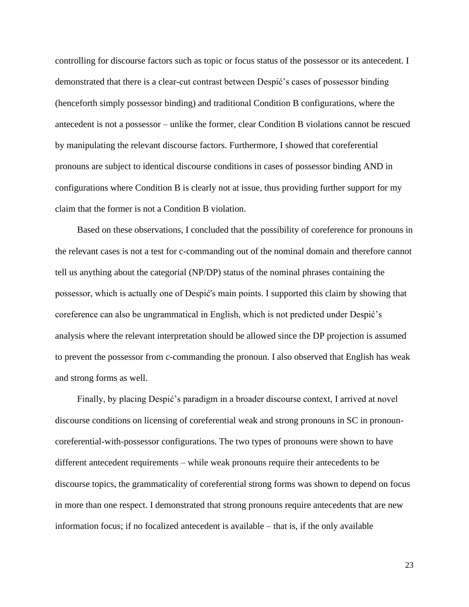controlling for discourse factors such as topic or focus status of the possessor or its antecedent. I demonstrated that there is a clear-cut contrast between Despić's cases of possessor binding (henceforth simply possessor binding) and traditional Condition B configurations, where the antecedent is not a possessor – unlike the former, clear Condition B violations cannot be rescued by manipulating the relevant discourse factors. Furthermore, I showed that coreferential pronouns are subject to identical discourse conditions in cases of possessor binding AND in configurations where Condition B is clearly not at issue, thus providing further support for my claim that the former is not a Condition B violation.

Based on these observations, I concluded that the possibility of coreference for pronouns in the relevant cases is not a test for c-commanding out of the nominal domain and therefore cannot tell us anything about the categorial (NP/DP) status of the nominal phrases containing the possessor, which is actually one of Despić's main points. I supported this claim by showing that coreference can also be ungrammatical in English, which is not predicted under Despić's analysis where the relevant interpretation should be allowed since the DP projection is assumed to prevent the possessor from c-commanding the pronoun. I also observed that English has weak and strong forms as well.

Finally, by placing Despić's paradigm in a broader discourse context, I arrived at novel discourse conditions on licensing of coreferential weak and strong pronouns in SC in pronouncoreferential-with-possessor configurations. The two types of pronouns were shown to have different antecedent requirements – while weak pronouns require their antecedents to be discourse topics, the grammaticality of coreferential strong forms was shown to depend on focus in more than one respect. I demonstrated that strong pronouns require antecedents that are new information focus; if no focalized antecedent is available – that is, if the only available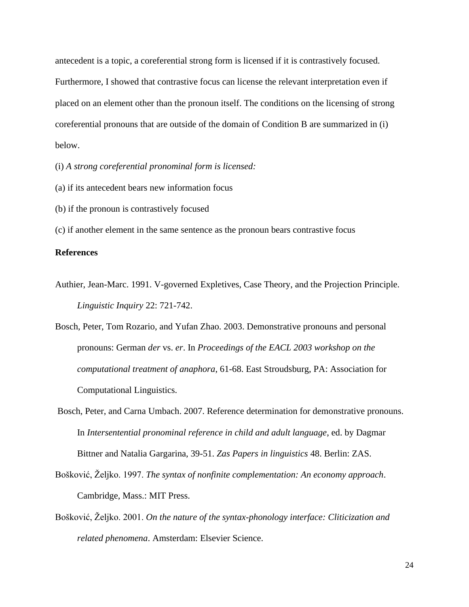antecedent is a topic, a coreferential strong form is licensed if it is contrastively focused. Furthermore, I showed that contrastive focus can license the relevant interpretation even if placed on an element other than the pronoun itself. The conditions on the licensing of strong coreferential pronouns that are outside of the domain of Condition B are summarized in (i) below.

(i) *A strong coreferential pronominal form is licensed:*

- (a) if its antecedent bears new information focus
- (b) if the pronoun is contrastively focused

(c) if another element in the same sentence as the pronoun bears contrastive focus

# **References**

- Authier, Jean-Marc. 1991. V-governed Expletives, Case Theory, and the Projection Principle. *Linguistic Inquiry* 22: 721-742.
- Bosch, Peter, Tom Rozario, and Yufan Zhao. 2003. Demonstrative pronouns and personal pronouns: German *der* vs. *er*. In *Proceedings of the EACL 2003 workshop on the computational treatment of anaphora*, 61-68. East Stroudsburg, PA: Association for Computational Linguistics.
- Bosch, Peter, and Carna Umbach. 2007. Reference determination for demonstrative pronouns. In *Intersentential pronominal reference in child and adult language*, ed. by Dagmar Bittner and Natalia Gargarina, 39-51. *Zas Papers in linguistics* 48. Berlin: ZAS.
- Bošković, Željko. 1997. *The syntax of nonfinite complementation: An economy approach*. Cambridge, Mass.: MIT Press.
- Bošković, Željko. 2001. *On the nature of the syntax-phonology interface: Cliticization and related phenomena*. Amsterdam: Elsevier Science.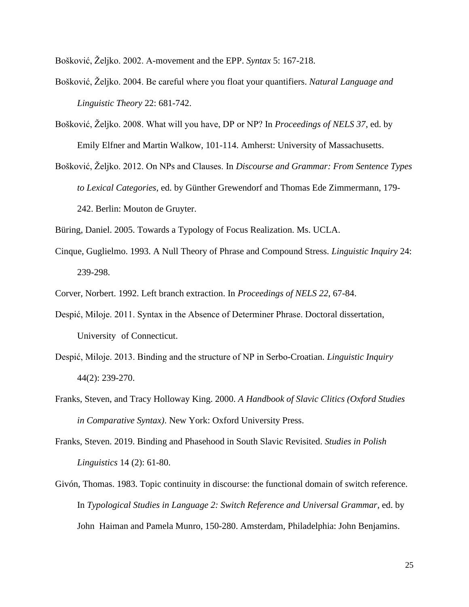Bošković, Željko. 2002. A-movement and the EPP. *Syntax* 5: 167-218.

- Bošković, Željko. 2004. Be careful where you float your quantifiers. *Natural Language and Linguistic Theory* 22: 681-742.
- Bošković, Željko. 2008. What will you have, DP or NP? In *Proceedings of NELS 37*, ed. by Emily Elfner and Martin Walkow, 101-114. Amherst: University of Massachusetts.
- Bošković, Željko. 2012. On NPs and Clauses. In *Discourse and Grammar: From Sentence Types to Lexical Categories*, ed. by Günther Grewendorf and Thomas Ede Zimmermann, 179- 242. Berlin: Mouton de Gruyter.

Büring, Daniel. 2005. Towards a Typology of Focus Realization. Ms. UCLA.

- Cinque, Guglielmo. 1993. A Null Theory of Phrase and Compound Stress. *Linguistic Inquiry* 24: 239-298.
- Corver, Norbert. 1992. Left branch extraction. In *Proceedings of NELS 22*, 67-84.
- Despić, Miloje. 2011. Syntax in the Absence of Determiner Phrase. Doctoral dissertation, University of Connecticut.
- Despić, Miloje. 2013. Binding and the structure of NP in Serbo-Croatian. *Linguistic Inquiry* 44(2): 239-270.
- Franks, Steven, and Tracy Holloway King. 2000. *A Handbook of Slavic Clitics (Oxford Studies in Comparative Syntax)*. New York: Oxford University Press.
- Franks, Steven. 2019. Binding and Phasehood in South Slavic Revisited. *Studies in Polish Linguistics* 14 (2): 61-80.
- Givón, Thomas. 1983. Topic continuity in discourse: the functional domain of switch reference. In *Typological Studies in Language 2: Switch Reference and Universal Grammar*, ed. by John Haiman and Pamela Munro, 150-280. Amsterdam, Philadelphia: John Benjamins.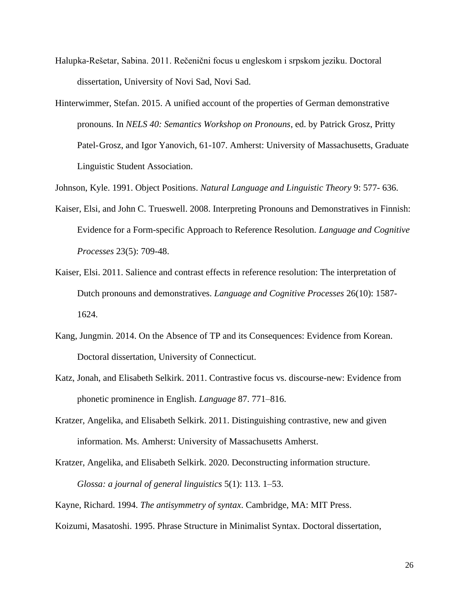- Halupka-Rešetar, Sabina. 2011. Rečenični focus u engleskom i srpskom jeziku. Doctoral dissertation, University of Novi Sad, Novi Sad.
- Hinterwimmer, Stefan. 2015. A unified account of the properties of German demonstrative pronouns. In *NELS 40: Semantics Workshop on Pronouns*, ed. by Patrick Grosz, Pritty Patel-Grosz, and Igor Yanovich, 61-107. Amherst: University of Massachusetts, Graduate Linguistic Student Association.

Johnson, Kyle. 1991. Object Positions. *Natural Language and Linguistic Theory* 9: 577- 636.

- Kaiser, Elsi, and John C. Trueswell. 2008. Interpreting Pronouns and Demonstratives in Finnish: Evidence for a Form-specific Approach to Reference Resolution. *Language and Cognitive Processes* 23(5): 709-48.
- Kaiser, Elsi. 2011. Salience and contrast effects in reference resolution: The interpretation of Dutch pronouns and demonstratives. *Language and Cognitive Processes* 26(10): 1587- 1624.
- Kang, Jungmin. 2014. On the Absence of TP and its Consequences: Evidence from Korean. Doctoral dissertation, University of Connecticut.
- Katz, Jonah, and Elisabeth Selkirk. 2011. Contrastive focus vs. discourse-new: Evidence from phonetic prominence in English. *Language* 87. 771–816.
- Kratzer, Angelika, and Elisabeth Selkirk. 2011. Distinguishing contrastive, new and given information. Ms. Amherst: University of Massachusetts Amherst.
- Kratzer, Angelika, and Elisabeth Selkirk. 2020. Deconstructing information structure. *Glossa: a journal of general linguistics* 5(1): 113. 1–53.

Kayne, Richard. 1994. *The antisymmetry of syntax*. Cambridge, MA: MIT Press.

Koizumi, Masatoshi. 1995. Phrase Structure in Minimalist Syntax. Doctoral dissertation,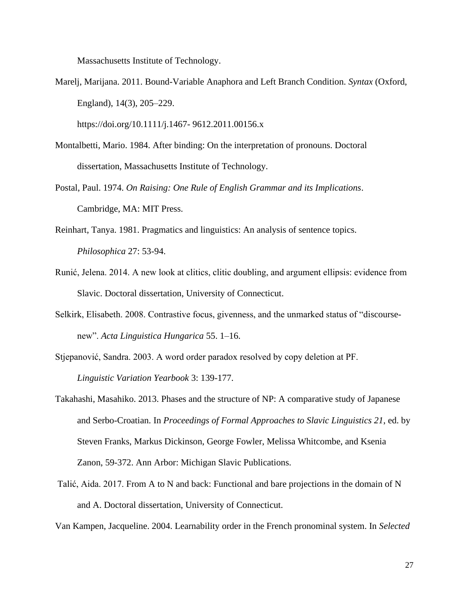Massachusetts Institute of Technology.

Marelj, Marijana. 2011. Bound-Variable Anaphora and Left Branch Condition. *Syntax* (Oxford, England), 14(3), 205–229.

https://doi.org/10.1111/j.1467- 9612.2011.00156.x

- Montalbetti, Mario. 1984. After binding: On the interpretation of pronouns. Doctoral dissertation, Massachusetts Institute of Technology.
- Postal, Paul. 1974. *On Raising: One Rule of English Grammar and its Implications*. Cambridge, MA: MIT Press.
- Reinhart, Tanya. 1981. Pragmatics and linguistics: An analysis of sentence topics. *Philosophica* 27: 53-94.
- Runić, Jelena. 2014. A new look at clitics, clitic doubling, and argument ellipsis: evidence from Slavic. Doctoral dissertation, University of Connecticut.
- Selkirk, Elisabeth. 2008. Contrastive focus, givenness, and the unmarked status of "discoursenew". *Acta Linguistica Hungarica* 55. 1–16.
- Stjepanović, Sandra. 2003. A word order paradox resolved by copy deletion at PF. *Linguistic Variation Yearbook* 3: 139-177.
- Takahashi, Masahiko. 2013. Phases and the structure of NP: A comparative study of Japanese and Serbo-Croatian. In *Proceedings of Formal Approaches to Slavic Linguistics 21*, ed. by Steven Franks, Markus Dickinson, George Fowler, Melissa Whitcombe, and Ksenia Zanon, 59-372. Ann Arbor: Michigan Slavic Publications.
- Talić, Aida. 2017. From A to N and back: Functional and bare projections in the domain of N and A. Doctoral dissertation, University of Connecticut.

Van Kampen, Jacqueline. 2004. Learnability order in the French pronominal system. In *Selected*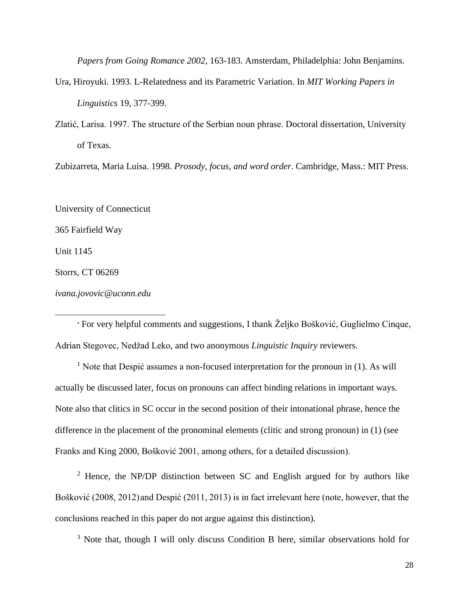*Papers from Going Romance 2002*, 163-183. Amsterdam, Philadelphia: John Benjamins.

- Ura, Hiroyuki. 1993. L-Relatedness and its Parametric Variation. In *MIT Working Papers in Linguistics* 19, 377-399.
- Zlatić, Larisa. 1997. The structure of the Serbian noun phrase. Doctoral dissertation, University of Texas.

Zubizarreta, Maria Luisa. 1998. *Prosody, focus, and word order*. Cambridge, Mass.: MIT Press.

University of Connecticut

365 Fairfield Way

Unit 1145

Storrs, CT 06269

*ivana.jovovic@uconn.edu*

 For very helpful comments and suggestions, I thank Željko Bošković, Guglielmo Cinque, Adrian Stegovec, Nedžad Leko, and two anonymous *Linguistic Inquiry* reviewers.

<sup>1</sup> Note that Despić assumes a non-focused interpretation for the pronoun in (1). As will actually be discussed later, focus on pronouns can affect binding relations in important ways. Note also that clitics in SC occur in the second position of their intonational phrase, hence the difference in the placement of the pronominal elements (clitic and strong pronoun) in (1) (see Franks and King 2000, Bošković 2001, among others, for a detailed discussion).

<sup>2</sup> Hence, the NP/DP distinction between SC and English argued for by authors like Bošković (2008, 2012)and Despić (2011, 2013) is in fact irrelevant here (note, however, that the conclusions reached in this paper do not argue against this distinction).

<sup>3</sup> Note that, though I will only discuss Condition B here, similar observations hold for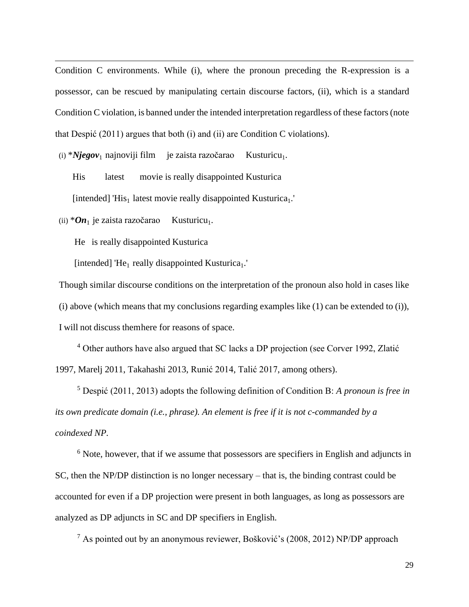Condition C environments. While (i), where the pronoun preceding the R-expression is a possessor, can be rescued by manipulating certain discourse factors, (ii), which is a standard Condition C violation, is banned under the intended interpretation regardless of these factors (note that Despić (2011) argues that both (i) and (ii) are Condition C violations).

(i) \**Njegov*<sub>1</sub> najnoviji film je zaista razočarao Kusturicu<sub>1</sub>.

His latest movie is really disappointed Kusturica [intended] 'His<sub>1</sub> latest movie really disappointed Kusturica<sub>1</sub>.'

(ii)  $*On_1$  je zaista razočarao Kusturicu<sub>1</sub>.

He is really disappointed Kusturica

[intended] 'He<sub>1</sub> really disappointed Kusturica<sub>1</sub>.'

Though similar discourse conditions on the interpretation of the pronoun also hold in cases like (i) above (which means that my conclusions regarding examples like  $(1)$  can be extended to  $(i)$ ), I will not discuss themhere for reasons of space.

<sup>4</sup> Other authors have also argued that SC lacks a DP projection (see Corver 1992, Zlatić 1997, Marelj 2011, Takahashi 2013, Runić 2014, Talić 2017, among others).

<sup>5</sup> Despić (2011, 2013) adopts the following definition of Condition B: *A pronoun is free in its own predicate domain (i.e., phrase). An element is free if it is not c-commanded by a coindexed NP.*

<sup>6</sup> Note, however, that if we assume that possessors are specifiers in English and adjuncts in SC, then the NP/DP distinction is no longer necessary – that is, the binding contrast could be accounted for even if a DP projection were present in both languages, as long as possessors are analyzed as DP adjuncts in SC and DP specifiers in English.

 $<sup>7</sup>$  As pointed out by an anonymous reviewer, Bošković's (2008, 2012) NP/DP approach</sup>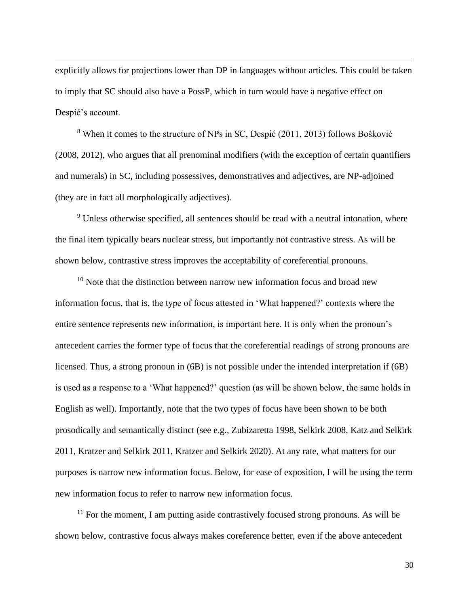explicitly allows for projections lower than DP in languages without articles. This could be taken to imply that SC should also have a PossP, which in turn would have a negative effect on Despić's account.

<sup>8</sup> When it comes to the structure of NPs in SC, Despić (2011, 2013) follows Bošković (2008, 2012), who argues that all prenominal modifiers (with the exception of certain quantifiers and numerals) in SC, including possessives, demonstratives and adjectives, are NP-adjoined (they are in fact all morphologically adjectives).

<sup>9</sup> Unless otherwise specified, all sentences should be read with a neutral intonation, where the final item typically bears nuclear stress, but importantly not contrastive stress. As will be shown below, contrastive stress improves the acceptability of coreferential pronouns.

 $10$  Note that the distinction between narrow new information focus and broad new information focus, that is, the type of focus attested in 'What happened?' contexts where the entire sentence represents new information, is important here. It is only when the pronoun's antecedent carries the former type of focus that the coreferential readings of strong pronouns are licensed. Thus, a strong pronoun in (6B) is not possible under the intended interpretation if (6B) is used as a response to a 'What happened?' question (as will be shown below, the same holds in English as well). Importantly, note that the two types of focus have been shown to be both prosodically and semantically distinct (see e.g., Zubizaretta 1998, Selkirk 2008, Katz and Selkirk 2011, Kratzer and Selkirk 2011, Kratzer and Selkirk 2020). At any rate, what matters for our purposes is narrow new information focus. Below, for ease of exposition, I will be using the term new information focus to refer to narrow new information focus.

 $11$  For the moment, I am putting aside contrastively focused strong pronouns. As will be shown below, contrastive focus always makes coreference better, even if the above antecedent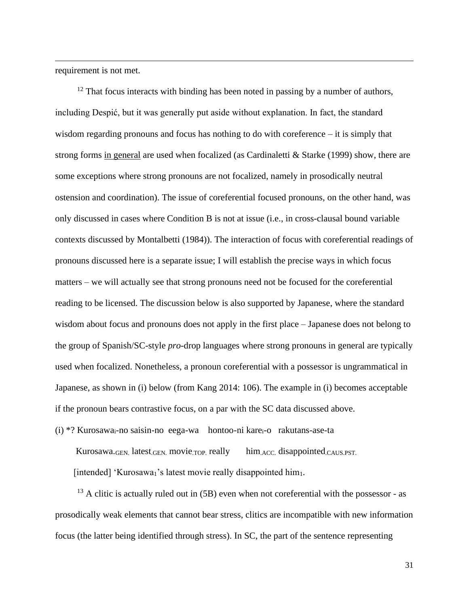requirement is not met.

 $12$  That focus interacts with binding has been noted in passing by a number of authors, including Despić, but it was generally put aside without explanation. In fact, the standard wisdom regarding pronouns and focus has nothing to do with coreference – it is simply that strong forms in general are used when focalized (as Cardinaletti & Starke (1999) show, there are some exceptions where strong pronouns are not focalized, namely in prosodically neutral ostension and coordination). The issue of coreferential focused pronouns, on the other hand, was only discussed in cases where Condition B is not at issue (i.e., in cross-clausal bound variable contexts discussed by Montalbetti (1984)). The interaction of focus with coreferential readings of pronouns discussed here is a separate issue; I will establish the precise ways in which focus matters – we will actually see that strong pronouns need not be focused for the coreferential reading to be licensed. The discussion below is also supported by Japanese, where the standard wisdom about focus and pronouns does not apply in the first place – Japanese does not belong to the group of Spanish/SC-style *pro*-drop languages where strong pronouns in general are typically used when focalized. Nonetheless, a pronoun coreferential with a possessor is ungrammatical in Japanese, as shown in (i) below (from Kang 2014: 106). The example in (i) becomes acceptable if the pronoun bears contrastive focus, on a par with the SC data discussed above.

(i) \*? Kurosawai-no saisin-no eega-wa hontoo-ni karei-o rakutans-ase-ta

Kurosawa.<sub>GEN.</sub> latest.<sub>GEN</sub> movie.<sub>TOP.</sub> really him.<sub>ACC.</sub> disappointed.caus.pst. [intended] 'Kurosawa<sub>1</sub>'s latest movie really disappointed him<sub>1</sub>.

 $13$  A clitic is actually ruled out in (5B) even when not coreferential with the possessor - as prosodically weak elements that cannot bear stress, clitics are incompatible with new information focus (the latter being identified through stress). In SC, the part of the sentence representing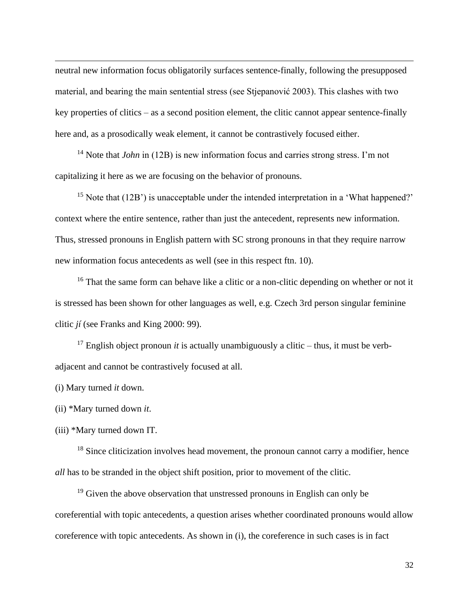neutral new information focus obligatorily surfaces sentence-finally, following the presupposed material, and bearing the main sentential stress (see Stjepanović 2003). This clashes with two key properties of clitics – as a second position element, the clitic cannot appear sentence-finally here and, as a prosodically weak element, it cannot be contrastively focused either.

<sup>14</sup> Note that *John* in (12B) is new information focus and carries strong stress. I'm not capitalizing it here as we are focusing on the behavior of pronouns.

<sup>15</sup> Note that  $(12B)$  is unacceptable under the intended interpretation in a 'What happened?' context where the entire sentence, rather than just the antecedent, represents new information. Thus, stressed pronouns in English pattern with SC strong pronouns in that they require narrow new information focus antecedents as well (see in this respect ftn. 10).

<sup>16</sup> That the same form can behave like a clitic or a non-clitic depending on whether or not it is stressed has been shown for other languages as well, e.g. Czech 3rd person singular feminine clitic *jí* (see Franks and King 2000: 99).

<sup>17</sup> English object pronoun *it* is actually unambiguously a clitic – thus, it must be verbadjacent and cannot be contrastively focused at all.

(i) Mary turned *it* down.

(ii) \*Mary turned down *it*.

(iii) \*Mary turned down IT.

<sup>18</sup> Since cliticization involves head movement, the pronoun cannot carry a modifier, hence *all* has to be stranded in the object shift position, prior to movement of the clitic.

 $19$  Given the above observation that unstressed pronouns in English can only be coreferential with topic antecedents, a question arises whether coordinated pronouns would allow coreference with topic antecedents. As shown in (i), the coreference in such cases is in fact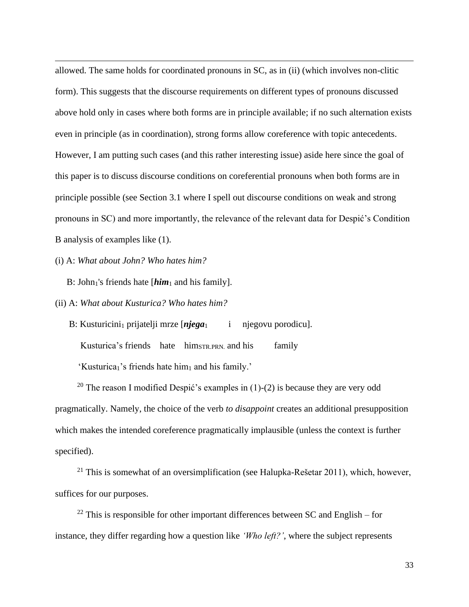allowed. The same holds for coordinated pronouns in SC, as in (ii) (which involves non-clitic form). This suggests that the discourse requirements on different types of pronouns discussed above hold only in cases where both forms are in principle available; if no such alternation exists even in principle (as in coordination), strong forms allow coreference with topic antecedents. However, I am putting such cases (and this rather interesting issue) aside here since the goal of this paper is to discuss discourse conditions on coreferential pronouns when both forms are in principle possible (see Section 3.1 where I spell out discourse conditions on weak and strong pronouns in SC) and more importantly, the relevance of the relevant data for Despić's Condition B analysis of examples like (1).

(i) A: *What about John? Who hates him?*

B: John<sub>1</sub>'s friends hate [*him*<sub>1</sub> and his family].

(ii) A: *What about Kusturica? Who hates him?*

B: Kusturicini<sub>1</sub> prijatelji mrze [**njega**<sub>1</sub> i njegovu porodicu]. Kusturica's friends hate him<sub>STR.PRN</sub> and his family 'Kusturica<sub>1</sub>'s friends hate him<sub>1</sub> and his family.'

<sup>20</sup> The reason I modified Despić's examples in (1)-(2) is because they are very odd pragmatically. Namely, the choice of the verb *to disappoint* creates an additional presupposition which makes the intended coreference pragmatically implausible (unless the context is further specified).

<sup>21</sup> This is somewhat of an oversimplification (see Halupka-Rešetar 2011), which, however, suffices for our purposes.

 $22$  This is responsible for other important differences between SC and English – for instance, they differ regarding how a question like *'Who left?'*, where the subject represents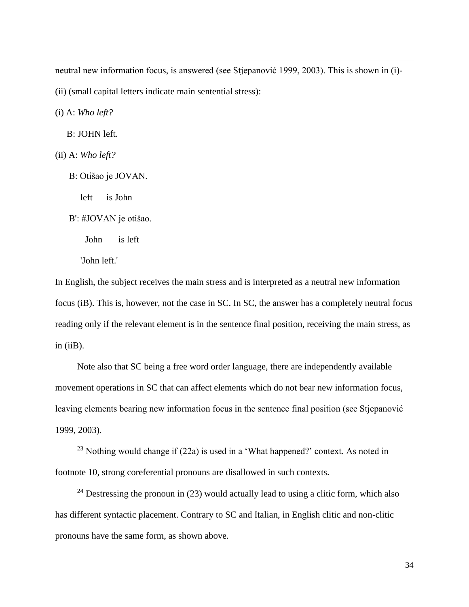neutral new information focus, is answered (see Stjepanović 1999, 2003). This is shown in (i)-

(ii) (small capital letters indicate main sentential stress):

(i) A: *Who left?*

B: JOHN left.

- (ii) A: *Who left?*
	- B: Otišao je JOVAN.

left is John

B': #JOVAN je otišao.

John is left

'John left.'

In English, the subject receives the main stress and is interpreted as a neutral new information focus (iB). This is, however, not the case in SC. In SC, the answer has a completely neutral focus reading only if the relevant element is in the sentence final position, receiving the main stress, as  $in (iiB)$ .

Note also that SC being a free word order language, there are independently available movement operations in SC that can affect elements which do not bear new information focus, leaving elements bearing new information focus in the sentence final position (see Stjepanović 1999, 2003).

<sup>23</sup> Nothing would change if  $(22a)$  is used in a 'What happened?' context. As noted in footnote 10, strong coreferential pronouns are disallowed in such contexts.

<sup>24</sup> Destressing the pronoun in (23) would actually lead to using a clitic form, which also has different syntactic placement. Contrary to SC and Italian, in English clitic and non-clitic pronouns have the same form, as shown above.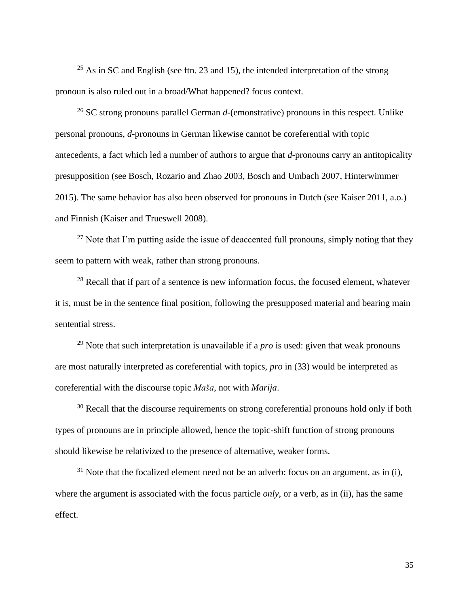$25$  As in SC and English (see ftn. 23 and 15), the intended interpretation of the strong pronoun is also ruled out in a broad/What happened? focus context.

<sup>26</sup> SC strong pronouns parallel German *d*-(emonstrative) pronouns in this respect. Unlike personal pronouns, *d*-pronouns in German likewise cannot be coreferential with topic antecedents, a fact which led a number of authors to argue that *d*-pronouns carry an antitopicality presupposition (see Bosch, Rozario and Zhao 2003, Bosch and Umbach 2007, Hinterwimmer 2015). The same behavior has also been observed for pronouns in Dutch (see Kaiser 2011, a.o.) and Finnish (Kaiser and Trueswell 2008).

 $27$  Note that I'm putting aside the issue of deaccented full pronouns, simply noting that they seem to pattern with weak, rather than strong pronouns.

 $28$  Recall that if part of a sentence is new information focus, the focused element, whatever it is, must be in the sentence final position, following the presupposed material and bearing main sentential stress.

<sup>29</sup> Note that such interpretation is unavailable if a *pro* is used: given that weak pronouns are most naturally interpreted as coreferential with topics, *pro* in (33) would be interpreted as coreferential with the discourse topic *Maša*, not with *Marija*.

 $30$  Recall that the discourse requirements on strong coreferential pronouns hold only if both types of pronouns are in principle allowed, hence the topic-shift function of strong pronouns should likewise be relativized to the presence of alternative, weaker forms.

 $31$  Note that the focalized element need not be an adverb: focus on an argument, as in (i), where the argument is associated with the focus particle *only*, or a verb, as in (ii), has the same effect.